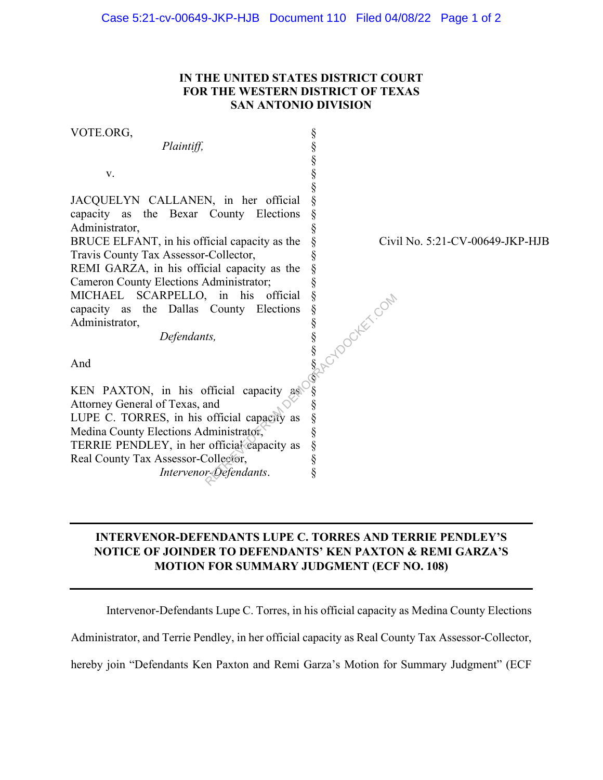## **IN THE UNITED STATES DISTRICT COURT FOR THE WESTERN DISTRICT OF TEXAS SAN ANTONIO DIVISION**

VOTE.ORG, *Plaintiff,* v. JACQUELYN CALLANEN, in her official capacity as the Bexar County Elections Administrator, BRUCE ELFANT, in his official capacity as the Travis County Tax Assessor-Collector, REMI GARZA, in his official capacity as the Cameron County Elections Administrator; MICHAEL SCARPELLO, in his official capacity as the Dallas County Elections Administrator, *Defendants,*  And KEN PAXTON, in his official capacity as Attorney General of Texas, and LUPE C. TORRES, in his official capacity as Medina County Elections Administrator, TERRIE PENDLEY, in her official capacity as Real County Tax Assessor-Collector, *Intervenor-Defendants*. § § § § § § § § § § § § § § § § § § § § § § § § § § Civil No. 5:21-CV-00649-JKP-HJB Reflections of the set of the set of the set of the set of the set of the set of the set of the set of the set of the set of the set of the set of the set of the set of the set of the set of the set of the set of the set

## **INTERVENOR-DEFENDANTS LUPE C. TORRES AND TERRIE PENDLEY'S NOTICE OF JOINDER TO DEFENDANTS' KEN PAXTON & REMI GARZA'S MOTION FOR SUMMARY JUDGMENT (ECF NO. 108)**

Intervenor-Defendants Lupe C. Torres, in his official capacity as Medina County Elections

Administrator, and Terrie Pendley, in her official capacity as Real County Tax Assessor-Collector,

hereby join "Defendants Ken Paxton and Remi Garza's Motion for Summary Judgment" (ECF